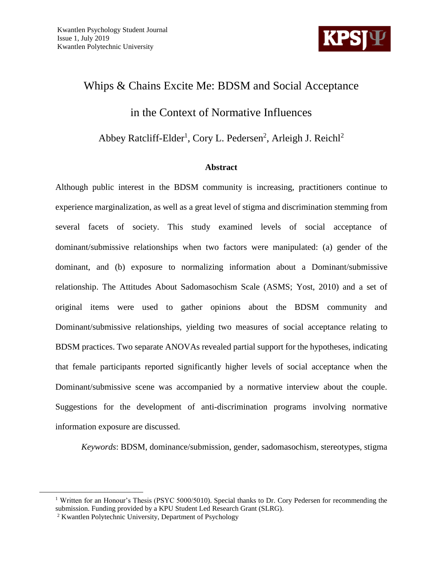

# Whips & Chains Excite Me: BDSM and Social Acceptance in the Context of Normative Influences

Abbey Ratcliff-Elder<sup>1</sup>, Cory L. Pedersen<sup>2</sup>, Arleigh J. Reichl<sup>2</sup>

### **Abstract**

Although public interest in the BDSM community is increasing, practitioners continue to experience marginalization, as well as a great level of stigma and discrimination stemming from several facets of society. This study examined levels of social acceptance of dominant/submissive relationships when two factors were manipulated: (a) gender of the dominant, and (b) exposure to normalizing information about a Dominant/submissive relationship. The Attitudes About Sadomasochism Scale (ASMS; Yost, 2010) and a set of original items were used to gather opinions about the BDSM community and Dominant/submissive relationships, yielding two measures of social acceptance relating to BDSM practices. Two separate ANOVAs revealed partial support for the hypotheses, indicating that female participants reported significantly higher levels of social acceptance when the Dominant/submissive scene was accompanied by a normative interview about the couple. Suggestions for the development of anti-discrimination programs involving normative information exposure are discussed.

*Keywords*: BDSM, dominance/submission, gender, sadomasochism, stereotypes, stigma

 $\overline{a}$ 

<sup>&</sup>lt;sup>1</sup> Written for an Honour's Thesis (PSYC 5000/5010). Special thanks to Dr. Cory Pedersen for recommending the submission. Funding provided by a KPU Student Led Research Grant (SLRG).

<sup>2</sup> Kwantlen Polytechnic University, Department of Psychology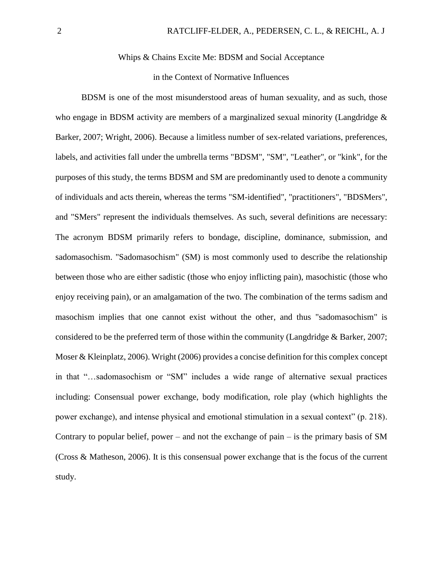#### Whips & Chains Excite Me: BDSM and Social Acceptance

#### in the Context of Normative Influences

BDSM is one of the most misunderstood areas of human sexuality, and as such, those who engage in BDSM activity are members of a marginalized sexual minority (Langdridge  $\&$ Barker, 2007; Wright, 2006). Because a limitless number of sex-related variations, preferences, labels, and activities fall under the umbrella terms "BDSM", "SM", "Leather", or "kink", for the purposes of this study, the terms BDSM and SM are predominantly used to denote a community of individuals and acts therein, whereas the terms "SM-identified", "practitioners", "BDSMers", and "SMers" represent the individuals themselves. As such, several definitions are necessary: The acronym BDSM primarily refers to bondage, discipline, dominance, submission, and sadomasochism. "Sadomasochism" (SM) is most commonly used to describe the relationship between those who are either sadistic (those who enjoy inflicting pain), masochistic (those who enjoy receiving pain), or an amalgamation of the two. The combination of the terms sadism and masochism implies that one cannot exist without the other, and thus "sadomasochism" is considered to be the preferred term of those within the community (Langdridge & Barker, 2007; Moser & Kleinplatz, 2006). Wright (2006) provides a concise definition for this complex concept in that "…sadomasochism or "SM" includes a wide range of alternative sexual practices including: Consensual power exchange, body modification, role play (which highlights the power exchange), and intense physical and emotional stimulation in a sexual context" (p. 218). Contrary to popular belief, power – and not the exchange of pain – is the primary basis of SM (Cross & Matheson, 2006). It is this consensual power exchange that is the focus of the current study.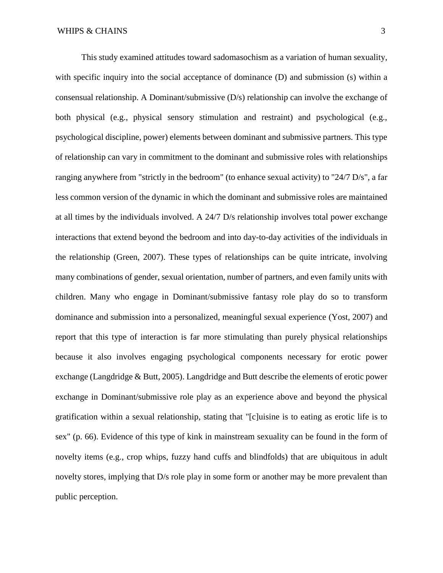This study examined attitudes toward sadomasochism as a variation of human sexuality, with specific inquiry into the social acceptance of dominance (D) and submission (s) within a consensual relationship. A Dominant/submissive (D/s) relationship can involve the exchange of both physical (e.g., physical sensory stimulation and restraint) and psychological (e.g., psychological discipline, power) elements between dominant and submissive partners. This type of relationship can vary in commitment to the dominant and submissive roles with relationships ranging anywhere from "strictly in the bedroom" (to enhance sexual activity) to "24/7 D/s", a far less common version of the dynamic in which the dominant and submissive roles are maintained at all times by the individuals involved. A 24/7 D/s relationship involves total power exchange interactions that extend beyond the bedroom and into day-to-day activities of the individuals in the relationship (Green, 2007). These types of relationships can be quite intricate, involving many combinations of gender, sexual orientation, number of partners, and even family units with children. Many who engage in Dominant/submissive fantasy role play do so to transform dominance and submission into a personalized, meaningful sexual experience (Yost, 2007) and report that this type of interaction is far more stimulating than purely physical relationships because it also involves engaging psychological components necessary for erotic power exchange (Langdridge & Butt, 2005). Langdridge and Butt describe the elements of erotic power exchange in Dominant/submissive role play as an experience above and beyond the physical gratification within a sexual relationship, stating that "[c]uisine is to eating as erotic life is to sex" (p. 66). Evidence of this type of kink in mainstream sexuality can be found in the form of novelty items (e.g., crop whips, fuzzy hand cuffs and blindfolds) that are ubiquitous in adult novelty stores, implying that D/s role play in some form or another may be more prevalent than public perception.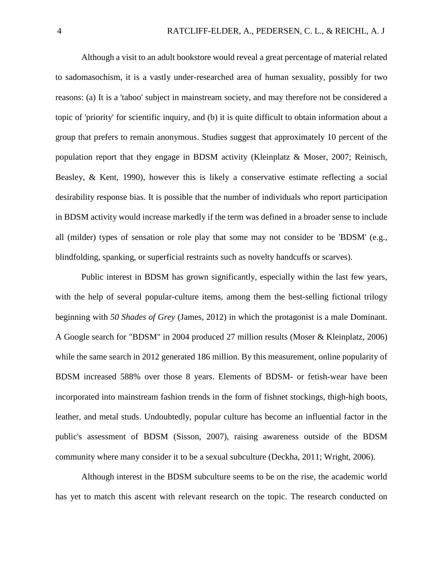Although a visit to an adult bookstore would reveal a great percentage of material related to sadomasochism, it is a vastly under-researched area of human sexuality, possibly for two reasons: (a) It is a 'taboo' subject in mainstream society, and may therefore not be considered a topic of 'priority' for scientific inquiry, and (b) it is quite difficult to obtain information about a group that prefers to remain anonymous. Studies suggest that approximately 10 percent of the population report that they engage in BDSM activity (Kleinplatz & Moser, 2007; Reinisch, Beasley, & Kent, 1990), however this is likely a conservative estimate reflecting a social desirability response bias. It is possible that the number of individuals who report participation in BDSM activity would increase markedly if the term was defined in a broader sense to include all (milder) types of sensation or role play that some may not consider to be 'BDSM' (e.g., blindfolding, spanking, or superficial restraints such as novelty handcuffs or scarves).

Public interest in BDSM has grown significantly, especially within the last few years, with the help of several popular-culture items, among them the best-selling fictional trilogy beginning with *50 Shades of Grey* (James, 2012) in which the protagonist is a male Dominant. A Google search for "BDSM" in 2004 produced 27 million results (Moser & Kleinplatz, 2006) while the same search in 2012 generated 186 million. By this measurement, online popularity of BDSM increased 588% over those 8 years. Elements of BDSM- or fetish-wear have been incorporated into mainstream fashion trends in the form of fishnet stockings, thigh-high boots, leather, and metal studs. Undoubtedly, popular culture has become an influential factor in the public's assessment of BDSM (Sisson, 2007), raising awareness outside of the BDSM community where many consider it to be a sexual subculture (Deckha, 2011; Wright, 2006).

Although interest in the BDSM subculture seems to be on the rise, the academic world has yet to match this ascent with relevant research on the topic. The research conducted on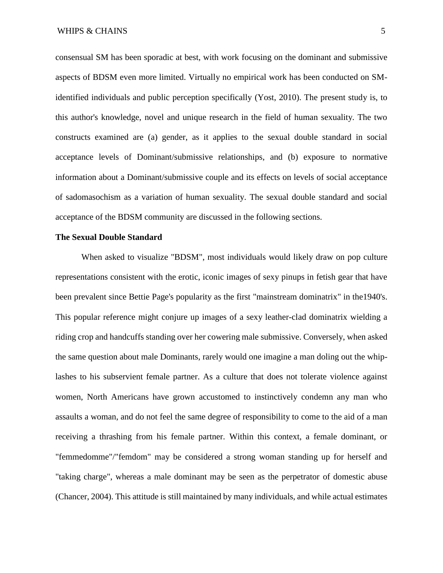consensual SM has been sporadic at best, with work focusing on the dominant and submissive aspects of BDSM even more limited. Virtually no empirical work has been conducted on SMidentified individuals and public perception specifically (Yost, 2010). The present study is, to this author's knowledge, novel and unique research in the field of human sexuality. The two constructs examined are (a) gender, as it applies to the sexual double standard in social acceptance levels of Dominant/submissive relationships, and (b) exposure to normative information about a Dominant/submissive couple and its effects on levels of social acceptance of sadomasochism as a variation of human sexuality. The sexual double standard and social acceptance of the BDSM community are discussed in the following sections.

#### **The Sexual Double Standard**

When asked to visualize "BDSM", most individuals would likely draw on pop culture representations consistent with the erotic, iconic images of sexy pinups in fetish gear that have been prevalent since Bettie Page's popularity as the first "mainstream dominatrix" in the1940's. This popular reference might conjure up images of a sexy leather-clad dominatrix wielding a riding crop and handcuffs standing over her cowering male submissive. Conversely, when asked the same question about male Dominants, rarely would one imagine a man doling out the whiplashes to his subservient female partner. As a culture that does not tolerate violence against women, North Americans have grown accustomed to instinctively condemn any man who assaults a woman, and do not feel the same degree of responsibility to come to the aid of a man receiving a thrashing from his female partner. Within this context, a female dominant, or "femmedomme"/"femdom" may be considered a strong woman standing up for herself and "taking charge", whereas a male dominant may be seen as the perpetrator of domestic abuse (Chancer, 2004). This attitude is still maintained by many individuals, and while actual estimates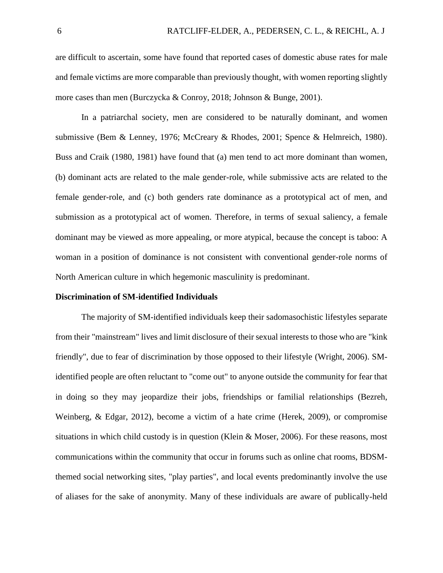are difficult to ascertain, some have found that reported cases of domestic abuse rates for male and female victims are more comparable than previously thought, with women reporting slightly more cases than men (Burczycka & Conroy, 2018; Johnson & Bunge, 2001).

In a patriarchal society, men are considered to be naturally dominant, and women submissive (Bem & Lenney, 1976; McCreary & Rhodes, 2001; Spence & Helmreich, 1980). Buss and Craik (1980, 1981) have found that (a) men tend to act more dominant than women, (b) dominant acts are related to the male gender-role, while submissive acts are related to the female gender-role, and (c) both genders rate dominance as a prototypical act of men, and submission as a prototypical act of women. Therefore, in terms of sexual saliency, a female dominant may be viewed as more appealing, or more atypical, because the concept is taboo: A woman in a position of dominance is not consistent with conventional gender-role norms of North American culture in which hegemonic masculinity is predominant.

#### **Discrimination of SM-identified Individuals**

The majority of SM-identified individuals keep their sadomasochistic lifestyles separate from their "mainstream" lives and limit disclosure of their sexual interests to those who are "kink friendly", due to fear of discrimination by those opposed to their lifestyle (Wright, 2006). SMidentified people are often reluctant to "come out" to anyone outside the community for fear that in doing so they may jeopardize their jobs, friendships or familial relationships (Bezreh, Weinberg, & Edgar, 2012), become a victim of a hate crime (Herek, 2009), or compromise situations in which child custody is in question (Klein & Moser, 2006). For these reasons, most communications within the community that occur in forums such as online chat rooms, BDSMthemed social networking sites, "play parties", and local events predominantly involve the use of aliases for the sake of anonymity. Many of these individuals are aware of publically-held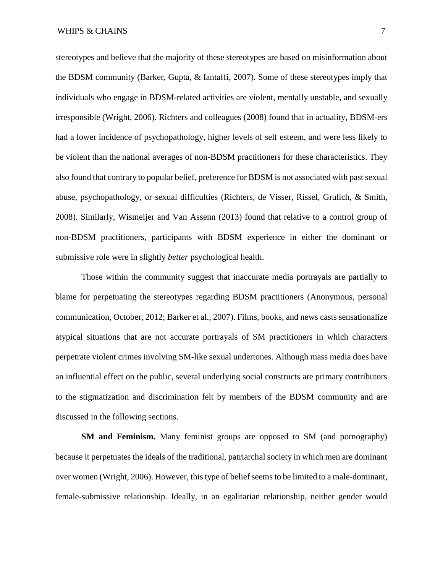stereotypes and believe that the majority of these stereotypes are based on misinformation about the BDSM community (Barker, Gupta, & Iantaffi, 2007). Some of these stereotypes imply that individuals who engage in BDSM-related activities are violent, mentally unstable, and sexually irresponsible (Wright, 2006). Richters and colleagues (2008) found that in actuality, BDSM-ers had a lower incidence of psychopathology, higher levels of self esteem, and were less likely to be violent than the national averages of non-BDSM practitioners for these characteristics. They also found that contrary to popular belief, preference for BDSM is not associated with past sexual abuse, psychopathology, or sexual difficulties (Richters, de Visser, Rissel, Grulich, & Smith, 2008). Similarly, Wismeijer and Van Assenn (2013) found that relative to a control group of non-BDSM practitioners, participants with BDSM experience in either the dominant or submissive role were in slightly *better* psychological health.

Those within the community suggest that inaccurate media portrayals are partially to blame for perpetuating the stereotypes regarding BDSM practitioners (Anonymous, personal communication, October, 2012; Barker et al., 2007). Films, books, and news casts sensationalize atypical situations that are not accurate portrayals of SM practitioners in which characters perpetrate violent crimes involving SM-like sexual undertones. Although mass media does have an influential effect on the public, several underlying social constructs are primary contributors to the stigmatization and discrimination felt by members of the BDSM community and are discussed in the following sections.

**SM and Feminism.** Many feminist groups are opposed to SM (and pornography) because it perpetuates the ideals of the traditional, patriarchal society in which men are dominant over women (Wright, 2006). However, this type of belief seems to be limited to a male-dominant, female-submissive relationship. Ideally, in an egalitarian relationship, neither gender would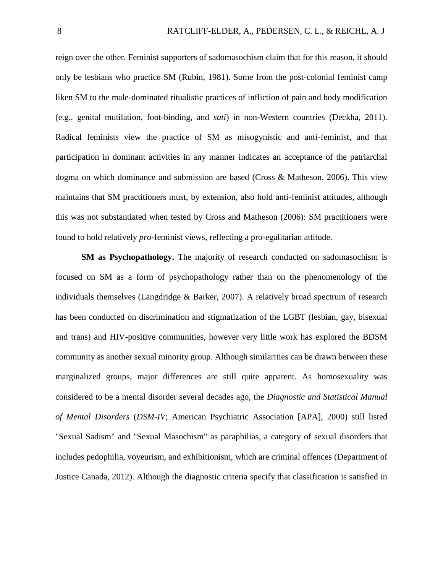reign over the other. Feminist supporters of sadomasochism claim that for this reason, it should only be lesbians who practice SM (Rubin, 1981). Some from the post-colonial feminist camp liken SM to the male-dominated ritualistic practices of infliction of pain and body modification (e.g., genital mutilation, foot-binding, and *sati*) in non-Western countries (Deckha, 2011). Radical feminists view the practice of SM as misogynistic and anti-feminist, and that participation in dominant activities in any manner indicates an acceptance of the patriarchal dogma on which dominance and submission are based (Cross & Matheson, 2006). This view maintains that SM practitioners must, by extension, also hold anti-feminist attitudes, although this was not substantiated when tested by Cross and Matheson (2006): SM practitioners were found to hold relatively *pro*-feminist views, reflecting a pro-egalitarian attitude.

**SM as Psychopathology.** The majority of research conducted on sadomasochism is focused on SM as a form of psychopathology rather than on the phenomenology of the individuals themselves (Langdridge & Barker, 2007). A relatively broad spectrum of research has been conducted on discrimination and stigmatization of the LGBT (lesbian, gay, bisexual and trans) and HIV-positive communities, however very little work has explored the BDSM community as another sexual minority group. Although similarities can be drawn between these marginalized groups, major differences are still quite apparent. As homosexuality was considered to be a mental disorder several decades ago, the *Diagnostic and Statistical Manual of Mental Disorders* (*DSM-IV*; American Psychiatric Association [APA], 2000) still listed "Sexual Sadism" and "Sexual Masochism" as paraphilias, a category of sexual disorders that includes pedophilia, voyeurism, and exhibitionism, which are criminal offences (Department of Justice Canada, 2012). Although the diagnostic criteria specify that classification is satisfied in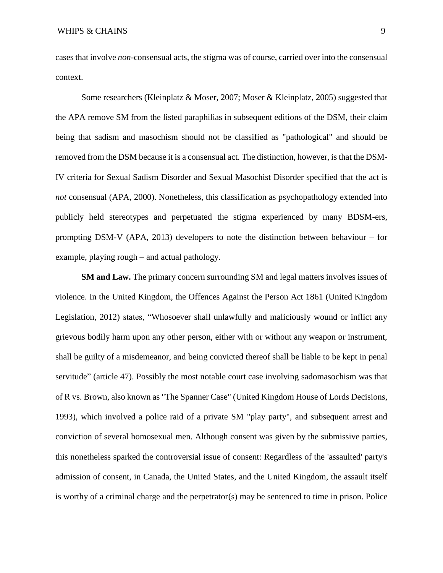cases that involve *non*-consensual acts, the stigma was of course, carried over into the consensual context.

Some researchers (Kleinplatz & Moser, 2007; Moser & Kleinplatz, 2005) suggested that the APA remove SM from the listed paraphilias in subsequent editions of the DSM, their claim being that sadism and masochism should not be classified as "pathological" and should be removed from the DSM because it is a consensual act. The distinction, however, is that the DSM-IV criteria for Sexual Sadism Disorder and Sexual Masochist Disorder specified that the act is *not* consensual (APA, 2000). Nonetheless, this classification as psychopathology extended into publicly held stereotypes and perpetuated the stigma experienced by many BDSM-ers, prompting DSM-V (APA, 2013) developers to note the distinction between behaviour – for example, playing rough – and actual pathology.

**SM and Law.** The primary concern surrounding SM and legal matters involves issues of violence. In the United Kingdom, the Offences Against the Person Act 1861 (United Kingdom Legislation, 2012) states, "Whosoever shall unlawfully and maliciously wound or inflict any grievous bodily harm upon any other person, either with or without any weapon or instrument, shall be guilty of a misdemeanor, and being convicted thereof shall be liable to be kept in penal servitude" (article 47). Possibly the most notable court case involving sadomasochism was that of R vs. Brown, also known as "The Spanner Case" (United Kingdom House of Lords Decisions, 1993), which involved a police raid of a private SM "play party", and subsequent arrest and conviction of several homosexual men. Although consent was given by the submissive parties, this nonetheless sparked the controversial issue of consent: Regardless of the 'assaulted' party's admission of consent, in Canada, the United States, and the United Kingdom, the assault itself is worthy of a criminal charge and the perpetrator(s) may be sentenced to time in prison. Police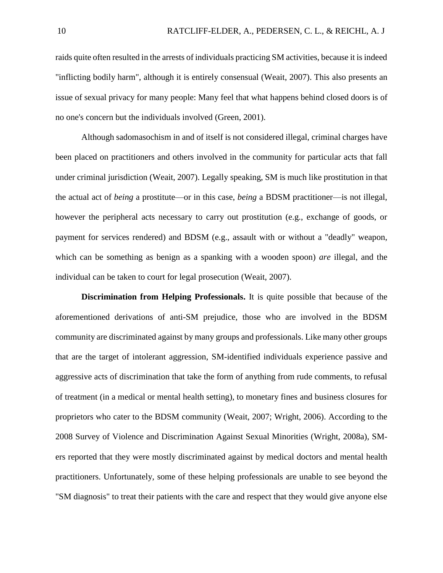raids quite often resulted in the arrests of individuals practicing SM activities, because it is indeed "inflicting bodily harm", although it is entirely consensual (Weait, 2007). This also presents an issue of sexual privacy for many people: Many feel that what happens behind closed doors is of no one's concern but the individuals involved (Green, 2001).

Although sadomasochism in and of itself is not considered illegal, criminal charges have been placed on practitioners and others involved in the community for particular acts that fall under criminal jurisdiction (Weait, 2007). Legally speaking, SM is much like prostitution in that the actual act of *being* a prostitute—or in this case, *being* a BDSM practitioner—is not illegal, however the peripheral acts necessary to carry out prostitution (e.g., exchange of goods, or payment for services rendered) and BDSM (e.g., assault with or without a "deadly" weapon, which can be something as benign as a spanking with a wooden spoon) *are* illegal, and the individual can be taken to court for legal prosecution (Weait, 2007).

**Discrimination from Helping Professionals.** It is quite possible that because of the aforementioned derivations of anti-SM prejudice, those who are involved in the BDSM community are discriminated against by many groups and professionals. Like many other groups that are the target of intolerant aggression, SM-identified individuals experience passive and aggressive acts of discrimination that take the form of anything from rude comments, to refusal of treatment (in a medical or mental health setting), to monetary fines and business closures for proprietors who cater to the BDSM community (Weait, 2007; Wright, 2006). According to the 2008 Survey of Violence and Discrimination Against Sexual Minorities (Wright, 2008a), SMers reported that they were mostly discriminated against by medical doctors and mental health practitioners. Unfortunately, some of these helping professionals are unable to see beyond the "SM diagnosis" to treat their patients with the care and respect that they would give anyone else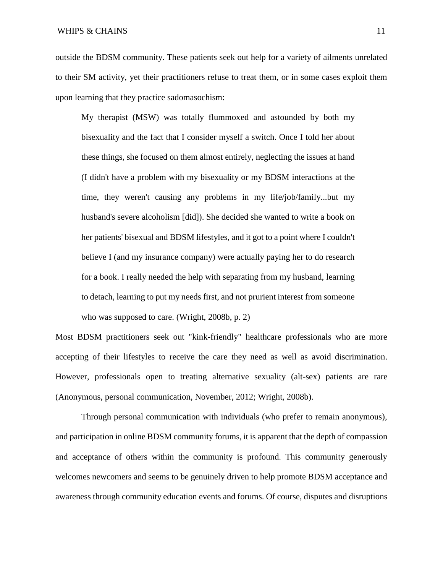outside the BDSM community. These patients seek out help for a variety of ailments unrelated to their SM activity, yet their practitioners refuse to treat them, or in some cases exploit them upon learning that they practice sadomasochism:

My therapist (MSW) was totally flummoxed and astounded by both my bisexuality and the fact that I consider myself a switch. Once I told her about these things, she focused on them almost entirely, neglecting the issues at hand (I didn't have a problem with my bisexuality or my BDSM interactions at the time, they weren't causing any problems in my life/job/family...but my husband's severe alcoholism [did]). She decided she wanted to write a book on her patients' bisexual and BDSM lifestyles, and it got to a point where I couldn't believe I (and my insurance company) were actually paying her to do research for a book. I really needed the help with separating from my husband, learning to detach, learning to put my needs first, and not prurient interest from someone who was supposed to care. (Wright, 2008b, p. 2)

Most BDSM practitioners seek out "kink-friendly" healthcare professionals who are more accepting of their lifestyles to receive the care they need as well as avoid discrimination. However, professionals open to treating alternative sexuality (alt-sex) patients are rare (Anonymous, personal communication, November, 2012; Wright, 2008b).

Through personal communication with individuals (who prefer to remain anonymous), and participation in online BDSM community forums, it is apparent that the depth of compassion and acceptance of others within the community is profound. This community generously welcomes newcomers and seems to be genuinely driven to help promote BDSM acceptance and awareness through community education events and forums. Of course, disputes and disruptions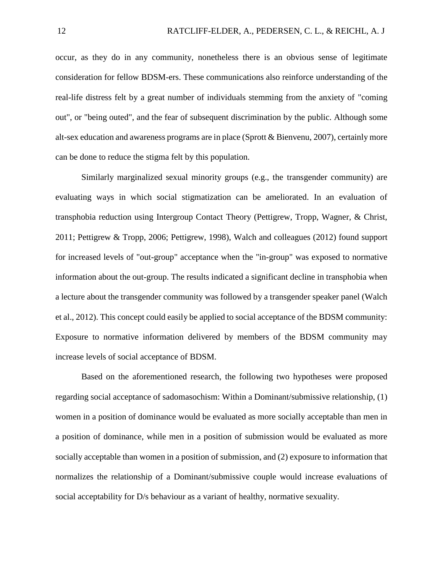occur, as they do in any community, nonetheless there is an obvious sense of legitimate consideration for fellow BDSM-ers. These communications also reinforce understanding of the real-life distress felt by a great number of individuals stemming from the anxiety of "coming out", or "being outed", and the fear of subsequent discrimination by the public. Although some alt-sex education and awareness programs are in place (Sprott & Bienvenu, 2007), certainly more can be done to reduce the stigma felt by this population.

Similarly marginalized sexual minority groups (e.g., the transgender community) are evaluating ways in which social stigmatization can be ameliorated. In an evaluation of transphobia reduction using Intergroup Contact Theory (Pettigrew, Tropp, Wagner, & Christ, 2011; Pettigrew & Tropp, 2006; Pettigrew, 1998), Walch and colleagues (2012) found support for increased levels of "out-group" acceptance when the "in-group" was exposed to normative information about the out-group. The results indicated a significant decline in transphobia when a lecture about the transgender community was followed by a transgender speaker panel (Walch et al., 2012). This concept could easily be applied to social acceptance of the BDSM community: Exposure to normative information delivered by members of the BDSM community may increase levels of social acceptance of BDSM.

Based on the aforementioned research, the following two hypotheses were proposed regarding social acceptance of sadomasochism: Within a Dominant/submissive relationship, (1) women in a position of dominance would be evaluated as more socially acceptable than men in a position of dominance, while men in a position of submission would be evaluated as more socially acceptable than women in a position of submission, and (2) exposure to information that normalizes the relationship of a Dominant/submissive couple would increase evaluations of social acceptability for D/s behaviour as a variant of healthy, normative sexuality.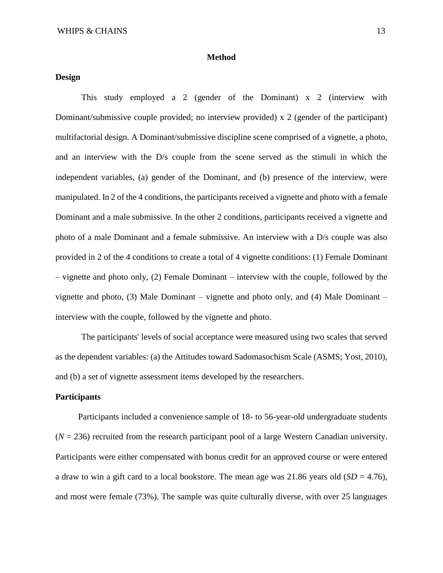#### **Method**

#### **Design**

This study employed a 2 (gender of the Dominant) x 2 (interview with Dominant/submissive couple provided; no interview provided) x 2 (gender of the participant) multifactorial design. A Dominant/submissive discipline scene comprised of a vignette, a photo, and an interview with the D/s couple from the scene served as the stimuli in which the independent variables, (a) gender of the Dominant, and (b) presence of the interview, were manipulated. In 2 of the 4 conditions, the participants received a vignette and photo with a female Dominant and a male submissive. In the other 2 conditions, participants received a vignette and photo of a male Dominant and a female submissive. An interview with a D/s couple was also provided in 2 of the 4 conditions to create a total of 4 vignette conditions: (1) Female Dominant – vignette and photo only, (2) Female Dominant – interview with the couple, followed by the vignette and photo, (3) Male Dominant – vignette and photo only, and (4) Male Dominant – interview with the couple, followed by the vignette and photo.

The participants' levels of social acceptance were measured using two scales that served as the dependent variables: (a) the Attitudes toward Sadomasochism Scale (ASMS; Yost, 2010), and (b) a set of vignette assessment items developed by the researchers.

#### **Participants**

Participants included a convenience sample of 18- to 56-year-old undergraduate students  $(N = 236)$  recruited from the research participant pool of a large Western Canadian university. Participants were either compensated with bonus credit for an approved course or were entered a draw to win a gift card to a local bookstore. The mean age was  $21.86$  years old  $(SD = 4.76)$ , and most were female (73%). The sample was quite culturally diverse, with over 25 languages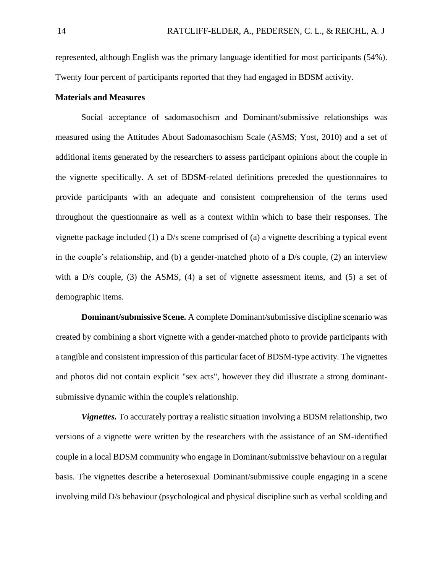represented, although English was the primary language identified for most participants (54%). Twenty four percent of participants reported that they had engaged in BDSM activity.

#### **Materials and Measures**

Social acceptance of sadomasochism and Dominant/submissive relationships was measured using the Attitudes About Sadomasochism Scale (ASMS; Yost, 2010) and a set of additional items generated by the researchers to assess participant opinions about the couple in the vignette specifically. A set of BDSM-related definitions preceded the questionnaires to provide participants with an adequate and consistent comprehension of the terms used throughout the questionnaire as well as a context within which to base their responses. The vignette package included (1) a D/s scene comprised of (a) a vignette describing a typical event in the couple's relationship, and (b) a gender-matched photo of a D/s couple, (2) an interview with a  $D/s$  couple, (3) the ASMS, (4) a set of vignette assessment items, and (5) a set of demographic items.

**Dominant/submissive Scene.** A complete Dominant/submissive discipline scenario was created by combining a short vignette with a gender-matched photo to provide participants with a tangible and consistent impression of this particular facet of BDSM-type activity. The vignettes and photos did not contain explicit "sex acts", however they did illustrate a strong dominantsubmissive dynamic within the couple's relationship.

*Vignettes.* To accurately portray a realistic situation involving a BDSM relationship, two versions of a vignette were written by the researchers with the assistance of an SM-identified couple in a local BDSM community who engage in Dominant/submissive behaviour on a regular basis. The vignettes describe a heterosexual Dominant/submissive couple engaging in a scene involving mild D/s behaviour (psychological and physical discipline such as verbal scolding and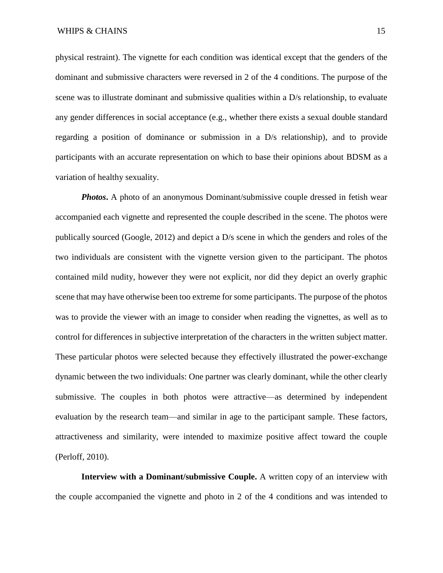physical restraint). The vignette for each condition was identical except that the genders of the dominant and submissive characters were reversed in 2 of the 4 conditions. The purpose of the scene was to illustrate dominant and submissive qualities within a D/s relationship, to evaluate any gender differences in social acceptance (e.g., whether there exists a sexual double standard regarding a position of dominance or submission in a D/s relationship), and to provide participants with an accurate representation on which to base their opinions about BDSM as a variation of healthy sexuality.

*Photos***.** A photo of an anonymous Dominant/submissive couple dressed in fetish wear accompanied each vignette and represented the couple described in the scene. The photos were publically sourced (Google, 2012) and depict a D/s scene in which the genders and roles of the two individuals are consistent with the vignette version given to the participant. The photos contained mild nudity, however they were not explicit, nor did they depict an overly graphic scene that may have otherwise been too extreme for some participants. The purpose of the photos was to provide the viewer with an image to consider when reading the vignettes, as well as to control for differences in subjective interpretation of the characters in the written subject matter. These particular photos were selected because they effectively illustrated the power-exchange dynamic between the two individuals: One partner was clearly dominant, while the other clearly submissive. The couples in both photos were attractive—as determined by independent evaluation by the research team—and similar in age to the participant sample. These factors, attractiveness and similarity, were intended to maximize positive affect toward the couple (Perloff, 2010).

**Interview with a Dominant/submissive Couple.** A written copy of an interview with the couple accompanied the vignette and photo in 2 of the 4 conditions and was intended to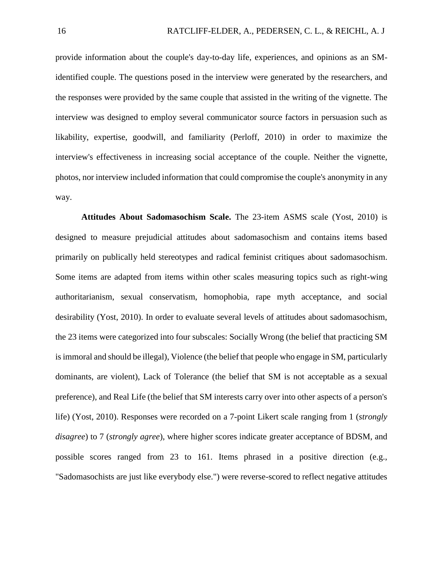provide information about the couple's day-to-day life, experiences, and opinions as an SMidentified couple. The questions posed in the interview were generated by the researchers, and the responses were provided by the same couple that assisted in the writing of the vignette. The interview was designed to employ several communicator source factors in persuasion such as likability, expertise, goodwill, and familiarity (Perloff, 2010) in order to maximize the interview's effectiveness in increasing social acceptance of the couple. Neither the vignette, photos, nor interview included information that could compromise the couple's anonymity in any way.

**Attitudes About Sadomasochism Scale.** The 23-item ASMS scale (Yost, 2010) is designed to measure prejudicial attitudes about sadomasochism and contains items based primarily on publically held stereotypes and radical feminist critiques about sadomasochism. Some items are adapted from items within other scales measuring topics such as right-wing authoritarianism, sexual conservatism, homophobia, rape myth acceptance, and social desirability (Yost, 2010). In order to evaluate several levels of attitudes about sadomasochism, the 23 items were categorized into four subscales: Socially Wrong (the belief that practicing SM is immoral and should be illegal), Violence (the belief that people who engage in SM, particularly dominants, are violent), Lack of Tolerance (the belief that SM is not acceptable as a sexual preference), and Real Life (the belief that SM interests carry over into other aspects of a person's life) (Yost, 2010). Responses were recorded on a 7-point Likert scale ranging from 1 (*strongly disagree*) to 7 (*strongly agree*), where higher scores indicate greater acceptance of BDSM, and possible scores ranged from 23 to 161. Items phrased in a positive direction (e.g., "Sadomasochists are just like everybody else.") were reverse-scored to reflect negative attitudes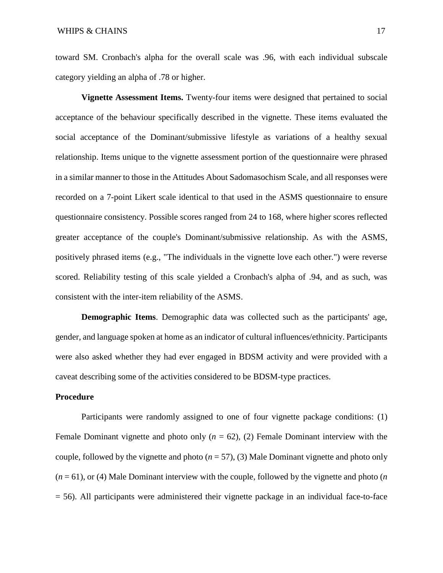toward SM. Cronbach's alpha for the overall scale was .96, with each individual subscale category yielding an alpha of .78 or higher.

**Vignette Assessment Items.** Twenty-four items were designed that pertained to social acceptance of the behaviour specifically described in the vignette. These items evaluated the social acceptance of the Dominant/submissive lifestyle as variations of a healthy sexual relationship. Items unique to the vignette assessment portion of the questionnaire were phrased in a similar manner to those in the Attitudes About Sadomasochism Scale, and all responses were recorded on a 7-point Likert scale identical to that used in the ASMS questionnaire to ensure questionnaire consistency. Possible scores ranged from 24 to 168, where higher scores reflected greater acceptance of the couple's Dominant/submissive relationship. As with the ASMS, positively phrased items (e.g., "The individuals in the vignette love each other.") were reverse scored. Reliability testing of this scale yielded a Cronbach's alpha of .94, and as such, was consistent with the inter-item reliability of the ASMS.

**Demographic Items**. Demographic data was collected such as the participants' age, gender, and language spoken at home as an indicator of cultural influences/ethnicity. Participants were also asked whether they had ever engaged in BDSM activity and were provided with a caveat describing some of the activities considered to be BDSM-type practices.

#### **Procedure**

Participants were randomly assigned to one of four vignette package conditions: (1) Female Dominant vignette and photo only  $(n = 62)$ ,  $(2)$  Female Dominant interview with the couple, followed by the vignette and photo (*n* = 57), (3) Male Dominant vignette and photo only (*n* = 61), or (4) Male Dominant interview with the couple, followed by the vignette and photo (*n*  = 56). All participants were administered their vignette package in an individual face-to-face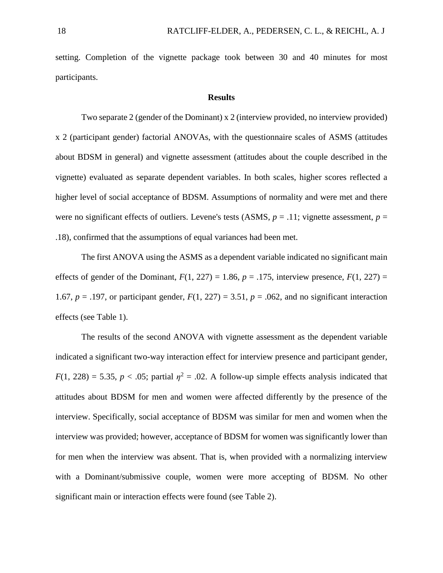setting. Completion of the vignette package took between 30 and 40 minutes for most participants.

#### **Results**

Two separate 2 (gender of the Dominant) x 2 (interview provided, no interview provided) x 2 (participant gender) factorial ANOVAs, with the questionnaire scales of ASMS (attitudes about BDSM in general) and vignette assessment (attitudes about the couple described in the vignette) evaluated as separate dependent variables. In both scales, higher scores reflected a higher level of social acceptance of BDSM. Assumptions of normality and were met and there were no significant effects of outliers. Levene's tests  $(ASMS, p = .11)$ ; vignette assessment,  $p =$ .18), confirmed that the assumptions of equal variances had been met.

The first ANOVA using the ASMS as a dependent variable indicated no significant main effects of gender of the Dominant,  $F(1, 227) = 1.86$ ,  $p = .175$ , interview presence,  $F(1, 227) =$ 1.67,  $p = .197$ , or participant gender,  $F(1, 227) = 3.51$ ,  $p = .062$ , and no significant interaction effects (see Table 1).

The results of the second ANOVA with vignette assessment as the dependent variable indicated a significant two-way interaction effect for interview presence and participant gender,  $F(1, 228) = 5.35$ ,  $p < .05$ ; partial  $\eta^2 = .02$ . A follow-up simple effects analysis indicated that attitudes about BDSM for men and women were affected differently by the presence of the interview. Specifically, social acceptance of BDSM was similar for men and women when the interview was provided; however, acceptance of BDSM for women was significantly lower than for men when the interview was absent. That is, when provided with a normalizing interview with a Dominant/submissive couple, women were more accepting of BDSM. No other significant main or interaction effects were found (see Table 2).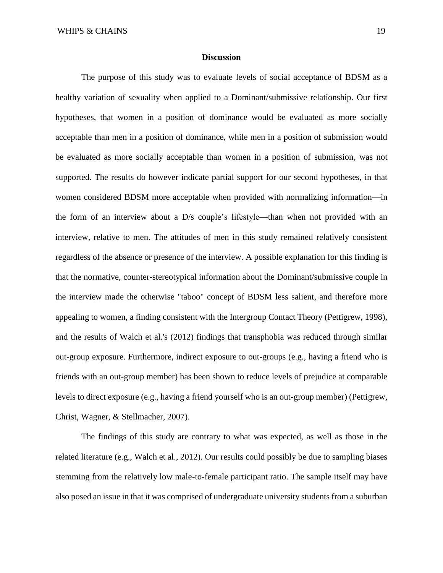#### **Discussion**

The purpose of this study was to evaluate levels of social acceptance of BDSM as a healthy variation of sexuality when applied to a Dominant/submissive relationship. Our first hypotheses, that women in a position of dominance would be evaluated as more socially acceptable than men in a position of dominance, while men in a position of submission would be evaluated as more socially acceptable than women in a position of submission, was not supported. The results do however indicate partial support for our second hypotheses, in that women considered BDSM more acceptable when provided with normalizing information—in the form of an interview about a D/s couple's lifestyle—than when not provided with an interview, relative to men. The attitudes of men in this study remained relatively consistent regardless of the absence or presence of the interview. A possible explanation for this finding is that the normative, counter-stereotypical information about the Dominant/submissive couple in the interview made the otherwise "taboo" concept of BDSM less salient, and therefore more appealing to women, a finding consistent with the Intergroup Contact Theory (Pettigrew, 1998), and the results of Walch et al.'s (2012) findings that transphobia was reduced through similar out-group exposure. Furthermore, indirect exposure to out-groups (e.g., having a friend who is friends with an out-group member) has been shown to reduce levels of prejudice at comparable levels to direct exposure (e.g., having a friend yourself who is an out-group member) (Pettigrew, Christ, Wagner, & Stellmacher, 2007).

The findings of this study are contrary to what was expected, as well as those in the related literature (e.g., Walch et al., 2012). Our results could possibly be due to sampling biases stemming from the relatively low male-to-female participant ratio. The sample itself may have also posed an issue in that it was comprised of undergraduate university students from a suburban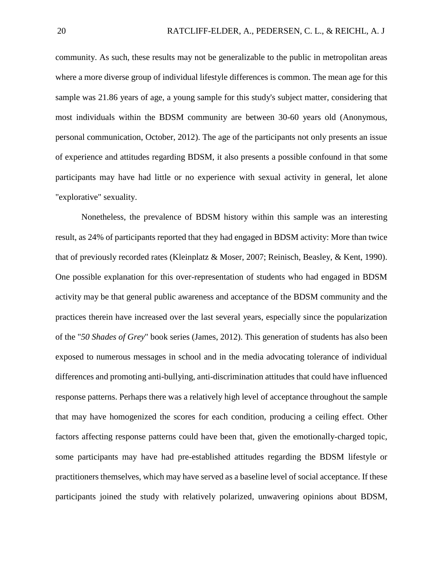community. As such, these results may not be generalizable to the public in metropolitan areas where a more diverse group of individual lifestyle differences is common. The mean age for this sample was 21.86 years of age, a young sample for this study's subject matter, considering that most individuals within the BDSM community are between 30-60 years old (Anonymous, personal communication, October, 2012). The age of the participants not only presents an issue of experience and attitudes regarding BDSM, it also presents a possible confound in that some participants may have had little or no experience with sexual activity in general, let alone "explorative" sexuality.

Nonetheless, the prevalence of BDSM history within this sample was an interesting result, as 24% of participants reported that they had engaged in BDSM activity: More than twice that of previously recorded rates (Kleinplatz & Moser, 2007; Reinisch, Beasley, & Kent, 1990). One possible explanation for this over-representation of students who had engaged in BDSM activity may be that general public awareness and acceptance of the BDSM community and the practices therein have increased over the last several years, especially since the popularization of the "*50 Shades of Grey*" book series (James, 2012). This generation of students has also been exposed to numerous messages in school and in the media advocating tolerance of individual differences and promoting anti-bullying, anti-discrimination attitudes that could have influenced response patterns. Perhaps there was a relatively high level of acceptance throughout the sample that may have homogenized the scores for each condition, producing a ceiling effect. Other factors affecting response patterns could have been that, given the emotionally-charged topic, some participants may have had pre-established attitudes regarding the BDSM lifestyle or practitioners themselves, which may have served as a baseline level of social acceptance. If these participants joined the study with relatively polarized, unwavering opinions about BDSM,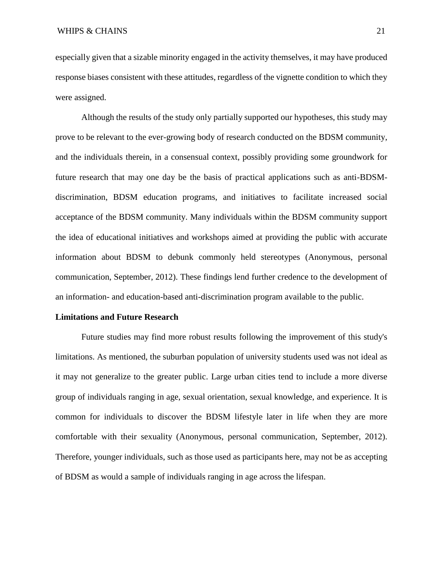especially given that a sizable minority engaged in the activity themselves, it may have produced response biases consistent with these attitudes, regardless of the vignette condition to which they were assigned.

Although the results of the study only partially supported our hypotheses, this study may prove to be relevant to the ever-growing body of research conducted on the BDSM community, and the individuals therein, in a consensual context, possibly providing some groundwork for future research that may one day be the basis of practical applications such as anti-BDSMdiscrimination, BDSM education programs, and initiatives to facilitate increased social acceptance of the BDSM community. Many individuals within the BDSM community support the idea of educational initiatives and workshops aimed at providing the public with accurate information about BDSM to debunk commonly held stereotypes (Anonymous, personal communication, September, 2012). These findings lend further credence to the development of an information- and education-based anti-discrimination program available to the public.

#### **Limitations and Future Research**

Future studies may find more robust results following the improvement of this study's limitations. As mentioned, the suburban population of university students used was not ideal as it may not generalize to the greater public. Large urban cities tend to include a more diverse group of individuals ranging in age, sexual orientation, sexual knowledge, and experience. It is common for individuals to discover the BDSM lifestyle later in life when they are more comfortable with their sexuality (Anonymous, personal communication, September, 2012). Therefore, younger individuals, such as those used as participants here, may not be as accepting of BDSM as would a sample of individuals ranging in age across the lifespan.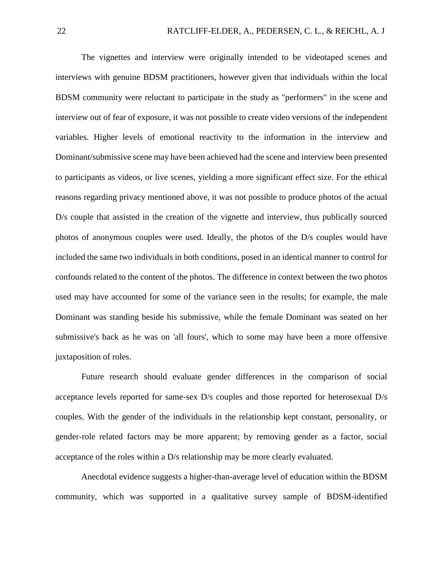The vignettes and interview were originally intended to be videotaped scenes and interviews with genuine BDSM practitioners, however given that individuals within the local BDSM community were reluctant to participate in the study as "performers" in the scene and interview out of fear of exposure, it was not possible to create video versions of the independent variables. Higher levels of emotional reactivity to the information in the interview and Dominant/submissive scene may have been achieved had the scene and interview been presented to participants as videos, or live scenes, yielding a more significant effect size. For the ethical reasons regarding privacy mentioned above, it was not possible to produce photos of the actual D/s couple that assisted in the creation of the vignette and interview, thus publically sourced photos of anonymous couples were used. Ideally, the photos of the D/s couples would have included the same two individuals in both conditions, posed in an identical manner to control for confounds related to the content of the photos. The difference in context between the two photos used may have accounted for some of the variance seen in the results; for example, the male Dominant was standing beside his submissive, while the female Dominant was seated on her submissive's back as he was on 'all fours', which to some may have been a more offensive juxtaposition of roles.

Future research should evaluate gender differences in the comparison of social acceptance levels reported for same-sex D/s couples and those reported for heterosexual D/s couples. With the gender of the individuals in the relationship kept constant, personality, or gender-role related factors may be more apparent; by removing gender as a factor, social acceptance of the roles within a D/s relationship may be more clearly evaluated.

Anecdotal evidence suggests a higher-than-average level of education within the BDSM community, which was supported in a qualitative survey sample of BDSM-identified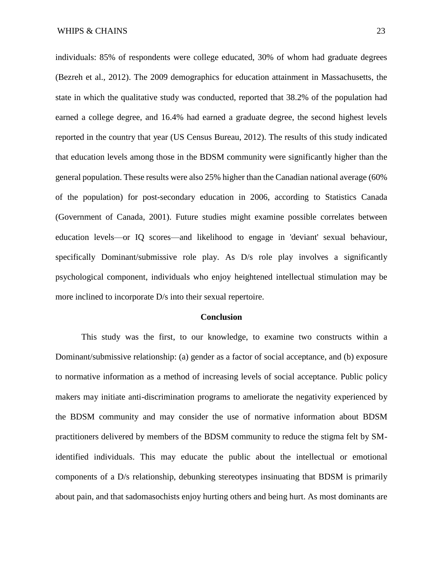individuals: 85% of respondents were college educated, 30% of whom had graduate degrees (Bezreh et al., 2012). The 2009 demographics for education attainment in Massachusetts, the state in which the qualitative study was conducted, reported that 38.2% of the population had earned a college degree, and 16.4% had earned a graduate degree, the second highest levels reported in the country that year (US Census Bureau, 2012). The results of this study indicated that education levels among those in the BDSM community were significantly higher than the general population. These results were also 25% higher than the Canadian national average (60% of the population) for post-secondary education in 2006, according to Statistics Canada (Government of Canada, 2001). Future studies might examine possible correlates between education levels—or IQ scores—and likelihood to engage in 'deviant' sexual behaviour, specifically Dominant/submissive role play. As D/s role play involves a significantly psychological component, individuals who enjoy heightened intellectual stimulation may be more inclined to incorporate D/s into their sexual repertoire.

#### **Conclusion**

This study was the first, to our knowledge, to examine two constructs within a Dominant/submissive relationship: (a) gender as a factor of social acceptance, and (b) exposure to normative information as a method of increasing levels of social acceptance. Public policy makers may initiate anti-discrimination programs to ameliorate the negativity experienced by the BDSM community and may consider the use of normative information about BDSM practitioners delivered by members of the BDSM community to reduce the stigma felt by SMidentified individuals. This may educate the public about the intellectual or emotional components of a D/s relationship, debunking stereotypes insinuating that BDSM is primarily about pain, and that sadomasochists enjoy hurting others and being hurt. As most dominants are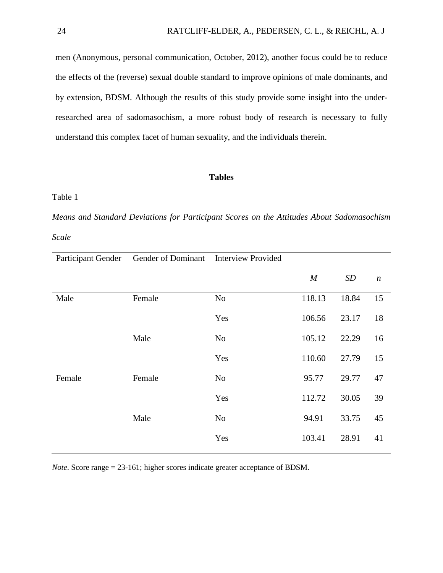men (Anonymous, personal communication, October, 2012), another focus could be to reduce the effects of the (reverse) sexual double standard to improve opinions of male dominants, and by extension, BDSM. Although the results of this study provide some insight into the underresearched area of sadomasochism, a more robust body of research is necessary to fully understand this complex facet of human sexuality, and the individuals therein.

#### **Tables**

#### Table 1

*Means and Standard Deviations for Participant Scores on the Attitudes About Sadomasochism Scale*

| Participant Gender | Gender of Dominant Interview Provided |                |                  |       |                  |
|--------------------|---------------------------------------|----------------|------------------|-------|------------------|
|                    |                                       |                | $\boldsymbol{M}$ | SD    | $\boldsymbol{n}$ |
| Male               | Female                                | No             | 118.13           | 18.84 | 15               |
|                    |                                       | Yes            | 106.56           | 23.17 | 18               |
|                    | Male                                  | N <sub>0</sub> | 105.12           | 22.29 | 16               |
|                    |                                       | Yes            | 110.60           | 27.79 | 15               |
| Female             | Female                                | No             | 95.77            | 29.77 | 47               |
|                    |                                       | Yes            | 112.72           | 30.05 | 39               |
|                    | Male                                  | N <sub>0</sub> | 94.91            | 33.75 | 45               |
|                    |                                       | Yes            | 103.41           | 28.91 | 41               |

*Note*. Score range = 23-161; higher scores indicate greater acceptance of BDSM.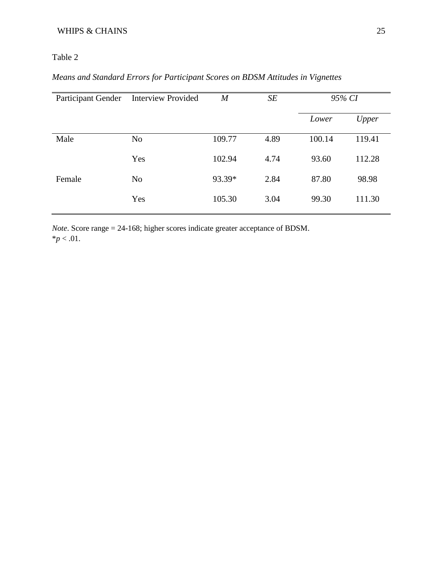## WHIPS & CHAINS 25

## Table 2

## *Means and Standard Errors for Participant Scores on BDSM Attitudes in Vignettes*

| Participant Gender | <b>Interview Provided</b> | $\boldsymbol{M}$ | SE   | 95% CI |        |
|--------------------|---------------------------|------------------|------|--------|--------|
|                    |                           |                  |      | Lower  | Upper  |
| Male               | N <sub>o</sub>            | 109.77           | 4.89 | 100.14 | 119.41 |
|                    | Yes                       | 102.94           | 4.74 | 93.60  | 112.28 |
| Female             | N <sub>o</sub>            | 93.39*           | 2.84 | 87.80  | 98.98  |
|                    | Yes                       | 105.30           | 3.04 | 99.30  | 111.30 |

*Note*. Score range = 24-168; higher scores indicate greater acceptance of BDSM.  $*$ *p* < .01.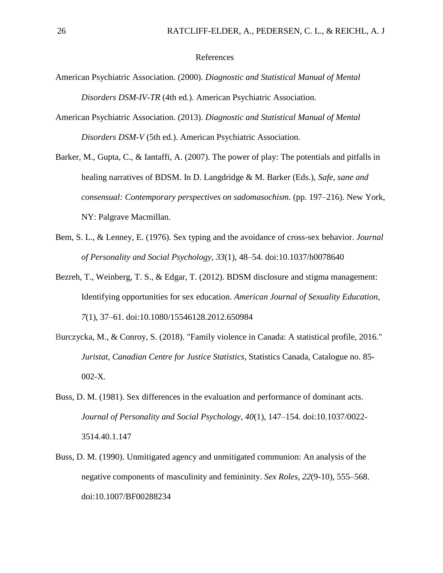#### References

- American Psychiatric Association. (2000). *Diagnostic and Statistical Manual of Mental Disorders DSM-IV-TR* (4th ed.). American Psychiatric Association.
- American Psychiatric Association. (2013). *Diagnostic and Statistical Manual of Mental Disorders DSM-V* (5th ed.). American Psychiatric Association.
- Barker, M., Gupta, C., & Iantaffi, A. (2007). The power of play: The potentials and pitfalls in healing narratives of BDSM. In D. Langdridge & M. Barker (Eds.), *Safe, sane and consensual: Contemporary perspectives on sadomasochism.* (pp. 197–216). New York, NY: Palgrave Macmillan.
- Bem, S. L., & Lenney, E. (1976). Sex typing and the avoidance of cross-sex behavior. *Journal of Personality and Social Psychology*, *33*(1), 48–54. doi:10.1037/h0078640
- Bezreh, T., Weinberg, T. S., & Edgar, T. (2012). BDSM disclosure and stigma management: Identifying opportunities for sex education. *American Journal of Sexuality Education*, *7*(1), 37–61. doi:10.1080/15546128.2012.650984
- Burczycka, M., & Conroy, S. (2018). "Family violence in Canada: A statistical profile, 2016." *Juristat, Canadian Centre for Justice Statistics*, Statistics Canada, Catalogue no. 85- 002-X.
- Buss, D. M. (1981). Sex differences in the evaluation and performance of dominant acts. *Journal of Personality and Social Psychology*, *40*(1), 147–154. doi:10.1037/0022- 3514.40.1.147
- Buss, D. M. (1990). Unmitigated agency and unmitigated communion: An analysis of the negative components of masculinity and femininity. *Sex Roles*, *22*(9-10), 555–568. doi:10.1007/BF00288234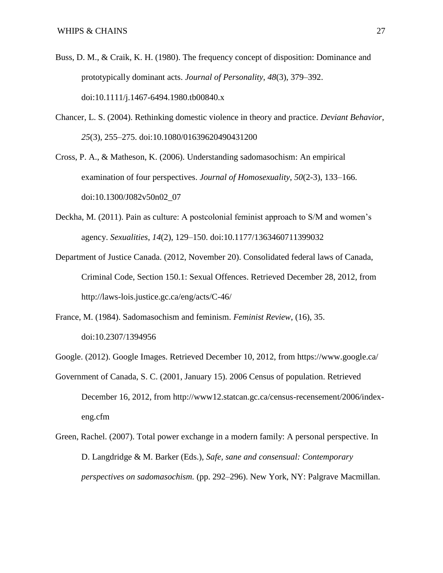- Buss, D. M., & Craik, K. H. (1980). The frequency concept of disposition: Dominance and prototypically dominant acts. *Journal of Personality*, *48*(3), 379–392. doi:10.1111/j.1467-6494.1980.tb00840.x
- Chancer, L. S. (2004). Rethinking domestic violence in theory and practice. *Deviant Behavior*, *25*(3), 255–275. doi:10.1080/01639620490431200
- Cross, P. A., & Matheson, K. (2006). Understanding sadomasochism: An empirical examination of four perspectives. *Journal of Homosexuality*, *50*(2-3), 133–166. doi:10.1300/J082v50n02\_07
- Deckha, M. (2011). Pain as culture: A postcolonial feminist approach to S/M and women's agency. *Sexualities*, *14*(2), 129–150. doi:10.1177/1363460711399032
- Department of Justice Canada. (2012, November 20). Consolidated federal laws of Canada, Criminal Code, Section 150.1: Sexual Offences. Retrieved December 28, 2012, from http://laws-lois.justice.gc.ca/eng/acts/C-46/
- France, M. (1984). Sadomasochism and feminism. *Feminist Review*, (16), 35. doi:10.2307/1394956
- Google. (2012). Google Images. Retrieved December 10, 2012, from https://www.google.ca/
- Government of Canada, S. C. (2001, January 15). 2006 Census of population. Retrieved December 16, 2012, from http://www12.statcan.gc.ca/census-recensement/2006/indexeng.cfm
- Green, Rachel. (2007). Total power exchange in a modern family: A personal perspective. In D. Langdridge & M. Barker (Eds.), *Safe, sane and consensual: Contemporary perspectives on sadomasochism.* (pp. 292–296). New York, NY: Palgrave Macmillan.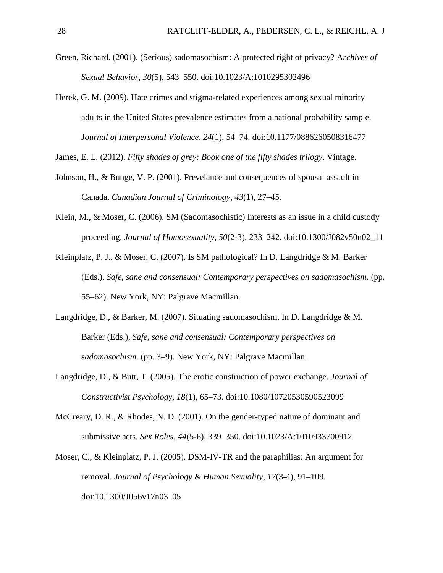- Green, Richard. (2001). (Serious) sadomasochism: A protected right of privacy? A*rchives of Sexual Behavior, 30*(5), 543–550. doi:10.1023/A:1010295302496
- Herek, G. M. (2009). Hate crimes and stigma-related experiences among sexual minority adults in the United States prevalence estimates from a national probability sample. J*ournal of Interpersonal Violence, 24*(1), 54–74. doi:10.1177/0886260508316477

James, E. L. (2012). *Fifty shades of grey: Book one of the fifty shades trilogy*. Vintage.

- Johnson, H., & Bunge, V. P. (2001). Prevelance and consequences of spousal assault in Canada. *Canadian Journal of Criminology*, *43*(1), 27–45.
- Klein, M., & Moser, C. (2006). SM (Sadomasochistic) Interests as an issue in a child custody proceeding. *Journal of Homosexuality*, *50*(2-3), 233–242. doi:10.1300/J082v50n02\_11
- Kleinplatz, P. J., & Moser, C. (2007). Is SM pathological? In D. Langdridge & M. Barker (Eds.), *Safe, sane and consensual: Contemporary perspectives on sadomasochism*. (pp. 55–62). New York, NY: Palgrave Macmillan.
- Langdridge, D., & Barker, M. (2007). Situating sadomasochism. In D. Langdridge & M. Barker (Eds.), *Safe, sane and consensual: Contemporary perspectives on sadomasochism*. (pp. 3–9). New York, NY: Palgrave Macmillan.
- Langdridge, D., & Butt, T. (2005). The erotic construction of power exchange. *Journal of Constructivist Psychology, 18*(1), 65–73. doi:10.1080/10720530590523099
- McCreary, D. R., & Rhodes, N. D. (2001). On the gender-typed nature of dominant and submissive acts. *Sex Roles, 44*(5-6), 339–350. doi:10.1023/A:1010933700912
- Moser, C., & Kleinplatz, P. J. (2005). DSM-IV-TR and the paraphilias: An argument for removal. *Journal of Psychology & Human Sexuality*, *17*(3-4), 91–109. doi:10.1300/J056v17n03\_05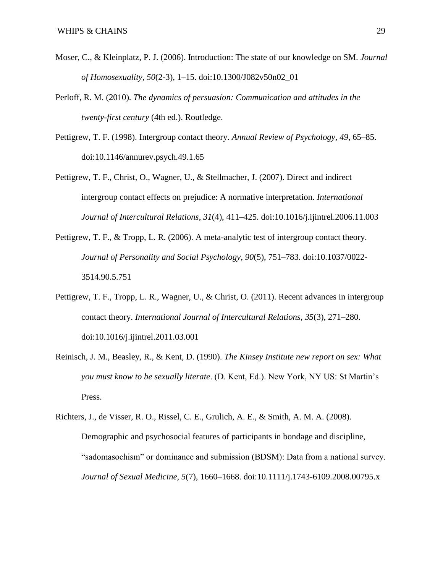- Moser, C., & Kleinplatz, P. J. (2006). Introduction: The state of our knowledge on SM. *Journal of Homosexuality*, *50*(2-3), 1–15. doi:10.1300/J082v50n02\_01
- Perloff, R. M. (2010). *The dynamics of persuasion: Communication and attitudes in the twenty-first century* (4th ed.). Routledge.
- Pettigrew, T. F. (1998). Intergroup contact theory. *Annual Review of Psychology*, *49*, 65–85. doi:10.1146/annurev.psych.49.1.65
- Pettigrew, T. F., Christ, O., Wagner, U., & Stellmacher, J. (2007). Direct and indirect intergroup contact effects on prejudice: A normative interpretation. *International Journal of Intercultural Relations*, *31*(4), 411–425. doi:10.1016/j.ijintrel.2006.11.003
- Pettigrew, T. F., & Tropp, L. R. (2006). A meta-analytic test of intergroup contact theory. *Journal of Personality and Social Psychology*, *90*(5), 751–783. doi:10.1037/0022- 3514.90.5.751
- Pettigrew, T. F., Tropp, L. R., Wagner, U., & Christ, O. (2011). Recent advances in intergroup contact theory. *International Journal of Intercultural Relations*, *35*(3), 271–280. doi:10.1016/j.ijintrel.2011.03.001
- Reinisch, J. M., Beasley, R., & Kent, D. (1990). *The Kinsey Institute new report on sex: What you must know to be sexually literate*. (D. Kent, Ed.). New York, NY US: St Martin's Press.

Richters, J., de Visser, R. O., Rissel, C. E., Grulich, A. E., & Smith, A. M. A. (2008). Demographic and psychosocial features of participants in bondage and discipline, "sadomasochism" or dominance and submission (BDSM): Data from a national survey. *Journal of Sexual Medicine*, *5*(7), 1660–1668. doi:10.1111/j.1743-6109.2008.00795.x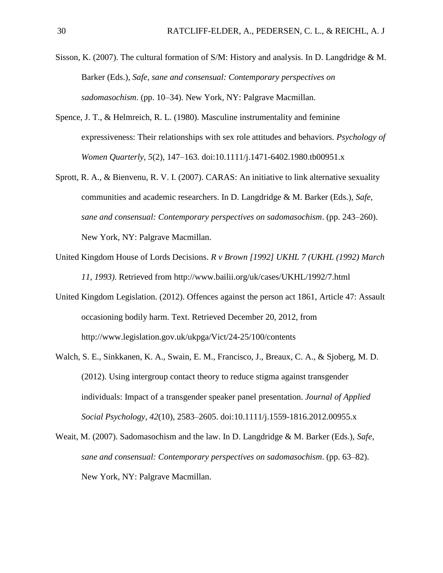- Sisson, K. (2007). The cultural formation of S/M: History and analysis. In D. Langdridge & M. Barker (Eds.), *Safe, sane and consensual: Contemporary perspectives on sadomasochism*. (pp. 10–34). New York, NY: Palgrave Macmillan.
- Spence, J. T., & Helmreich, R. L. (1980). Masculine instrumentality and feminine expressiveness: Their relationships with sex role attitudes and behaviors. *Psychology of Women Quarterly*, *5*(2), 147–163. doi:10.1111/j.1471-6402.1980.tb00951.x
- Sprott, R. A., & Bienvenu, R. V. I. (2007). CARAS: An initiative to link alternative sexuality communities and academic researchers. In D. Langdridge & M. Barker (Eds.), *Safe, sane and consensual: Contemporary perspectives on sadomasochism*. (pp. 243–260). New York, NY: Palgrave Macmillan.
- United Kingdom House of Lords Decisions. *R v Brown [1992] UKHL 7 (UKHL (1992) March 11, 1993)*. Retrieved from http://www.bailii.org/uk/cases/UKHL/1992/7.html
- United Kingdom Legislation. (2012). Offences against the person act 1861, Article 47: Assault occasioning bodily harm. Text. Retrieved December 20, 2012, from http://www.legislation.gov.uk/ukpga/Vict/24-25/100/contents
- Walch, S. E., Sinkkanen, K. A., Swain, E. M., Francisco, J., Breaux, C. A., & Sjoberg, M. D. (2012). Using intergroup contact theory to reduce stigma against transgender individuals: Impact of a transgender speaker panel presentation. *Journal of Applied Social Psychology*, *42*(10), 2583–2605. doi:10.1111/j.1559-1816.2012.00955.x
- Weait, M. (2007). Sadomasochism and the law. In D. Langdridge & M. Barker (Eds.), *Safe, sane and consensual: Contemporary perspectives on sadomasochism*. (pp. 63–82). New York, NY: Palgrave Macmillan.